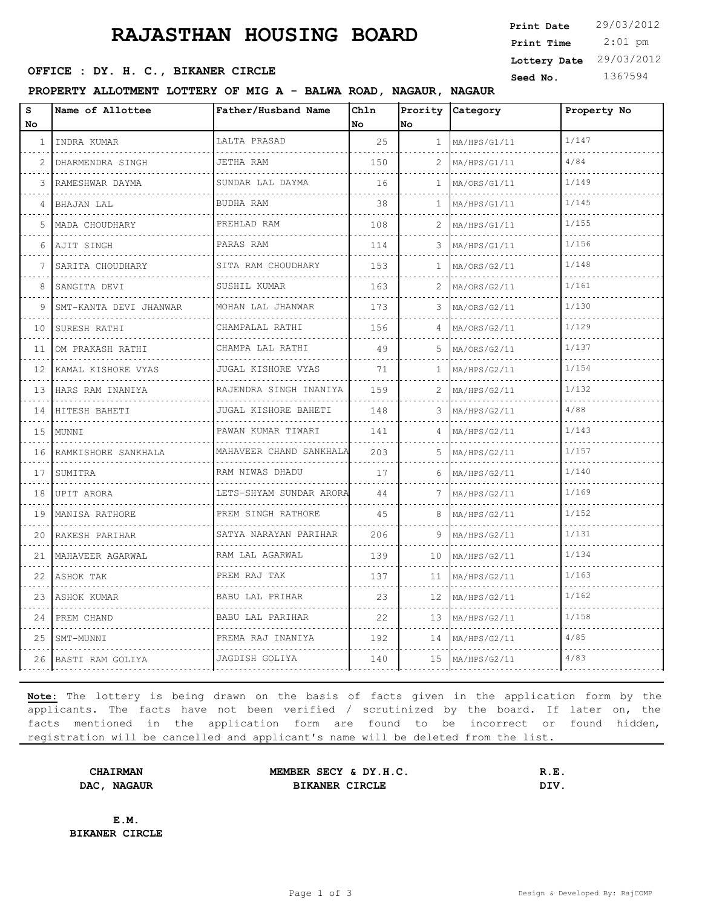# **RAJASTHAN HOUSING BOARD**

**SEED OFFICE : DY. H. C., BIKANER CIRCLE** Seed No. 1367594

**PROPERTY ALLOTMENT LOTTERY OF MIG A - BALWA ROAD, NAGAUR, NAGAUR**

| s         | Name of Allottee       | Father/Husband Name        | Chln | Prority        | Category     | Property No |
|-----------|------------------------|----------------------------|------|----------------|--------------|-------------|
| <b>No</b> |                        |                            | No   | No.            |              |             |
| 1         | INDRA KUMAR            | LALTA PRASAD               | 25   | $\mathbf{1}$   | MA/HPS/G1/11 | 1/147       |
| 2         | DHARMENDRA SINGH       | JETHA RAM                  | 150  | $\overline{2}$ | MA/HPS/G1/11 | 4/84        |
| 3         | RAMESHWAR DAYMA        | SUNDAR LAL DAYMA           | 16   | $\mathbf{1}$   | MA/ORS/G1/11 | 1/149       |
| 4         | BHAJAN LAL             | BUDHA RAM                  | 38   | $\mathbf{1}$   | MA/HPS/G1/11 | 1/145       |
| 5         | MADA CHOUDHARY         | PREHLAD RAM                | 108  | 2              | MA/HPS/G1/11 | 1/155       |
| 6         | AJIT SINGH             | PARAS RAM                  | 114  | 3              | MA/HPS/G1/11 | 1/156       |
|           | SARITA CHOUDHARY       | SITA RAM CHOUDHARY<br>.    | 153  | $\mathbf{1}$   | MA/ORS/G2/11 | 1/148       |
| 8         | SANGITA DEVI           | SUSHIL KUMAR               | 163  | 2              | MA/ORS/G2/11 | 1/161       |
| 9         | SMT-KANTA DEVI JHANWAR | MOHAN LAL JHANWAR          | 173  | 3              | MA/ORS/G2/11 | 1/130       |
| 10        | SURESH RATHI           | CHAMPALAL RATHI            | 156  | 4              | MA/ORS/G2/11 | 1/129       |
| 11        | OM PRAKASH RATHI<br>.  | CHAMPA LAL RATHI           | 49   | 5              | MA/ORS/G2/11 | 1/137       |
| 12        | KAMAL KISHORE VYAS     | JUGAL KISHORE VYAS         | 71   | $\mathbf{1}$   | MA/HPS/G2/11 | 1/154       |
| 13        | HARS RAM INANIYA       | RAJENDRA SINGH INANIYA     | 159  | 2              | MA/HPS/G2/11 | 1/132       |
| 14        | HITESH BAHETI          | JUGAL KISHORE BAHETI<br>.  | 148  | 3              | MA/HPS/G2/11 | 4/88        |
| 15        | MUNNI                  | PAWAN KUMAR TIWARI         | 141  | 4              | MA/HPS/G2/11 | 1/143       |
| 16        | RAMKISHORE SANKHALA    | MAHAVEER CHAND SANKHALA    | 203  | 5.             | MA/HPS/G2/11 | 1/157       |
| 17        | SUMITRA                | RAM NIWAS DHADU            | 17   | 6              | MA/HPS/G2/11 | 1/140       |
| 18        | UPIT ARORA             | LETS-SHYAM SUNDAR ARORA    | 44   | 7              | MA/HPS/G2/11 | 1/169       |
| 19        | MANISA RATHORE         | PREM SINGH RATHORE<br>.    | 45   | 8              | MA/HPS/G2/11 | 1/152       |
| 20        | RAKESH PARIHAR<br>.    | SATYA NARAYAN PARIHAR<br>. | 206  | 9              | MA/HPS/G2/11 | 1/131       |
| 21        | IMAHAVEER AGARWAL      | RAM LAL AGARWAL            | 139  | 10             | MA/HPS/G2/11 | 1/134       |
| 22        | ASHOK TAK              | PREM RAJ TAK<br>.          | 137  | 11             | MA/HPS/G2/11 | 1/163       |
| 23        | ASHOK KUMAR            | BABU LAL PRIHAR            | 23   | 12             | MA/HPS/G2/11 | 1/162       |
| 24        | PREM CHAND             | BABU LAL PARIHAR           | 22   | 13             | MA/HPS/G2/11 | 1/158       |
| 25        | SMT-MUNNI              | PREMA RAJ INANIYA          | 192  | 14             | MA/HPS/G2/11 | 4/85        |
|           | 26 BASTI RAM GOLIYA    | JAGDISH GOLIYA             | 140  | 15             | MA/HPS/G2/11 | 4/83        |

**Note:** The lottery is being drawn on the basis of facts given in the application form by the applicants. The facts have not been verified / scrutinized by the board. If later on, the facts mentioned in the application form are found to be incorrect or found hidden, registration will be cancelled and applicant's name will be deleted from the list.

**CHAIRMAN MEMBER SECY & DY.H.C. R.E. DAC, NAGAUR BIKANER CIRCLE DIV.** 

**E.M. BIKANER CIRCLE**

 2:01 pm **Print Date**  $29/03/2012$ **Print Time Lottery Date** 29/03/2012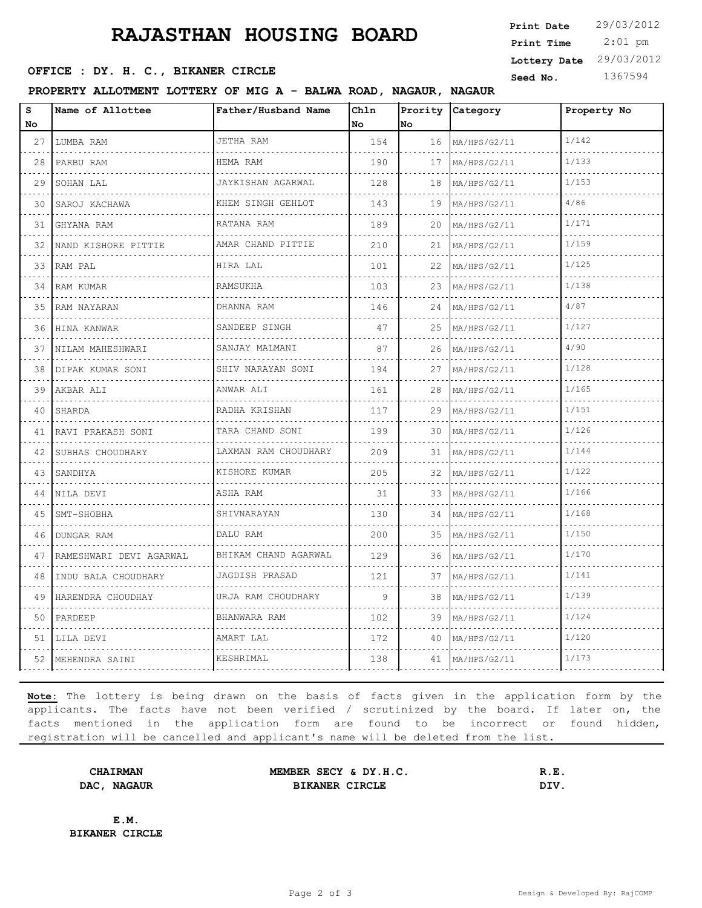# **RAJASTHAN HOUSING BOARD**

**SEED OFFICE : DY. H. C., BIKANER CIRCLE** Seed No. 1367594

**PROPERTY ALLOTMENT LOTTERY OF MIG A - BALWA ROAD, NAGAUR, NAGAUR**

| S  | Name of Allottee        | Father/Husband Name       | Chln |    | Prority Category | Property No |
|----|-------------------------|---------------------------|------|----|------------------|-------------|
| No |                         |                           | No   | No |                  |             |
| 27 | LUMBA RAM               | JETHA RAM                 | 154  | 16 | MA/HPS/G2/11     | 1/142       |
| 28 | PARBU RAM               | HEMA RAM                  | 190  | 17 | MA/HPS/G2/11     | 1/133       |
| 29 | SOHAN LAL               | JAYKISHAN AGARWAL         | 128  | 18 | MA/HPS/G2/11     | 1/153       |
| 30 | SAROJ KACHAWA           | KHEM SINGH GEHLOT<br>.    | 143  | 19 | MA/HPS/G2/11     | 4/86        |
| 31 | GHYANA RAM              | RATANA RAM                | 189  | 20 | MA/HPS/G2/11     | 1/171       |
| 32 | NAND KISHORE PITTIE     | AMAR CHAND PITTIE         | 210  | 21 | MA/HPS/G2/11     | 1/159       |
| 33 | RAM PAL                 | HIRA LAL                  | 101  | 22 | MA/HPS/G2/11     | 1/125       |
| 34 | RAM KUMAR               | RAMSUKHA                  | 103  | 23 | MA/HPS/G2/11     | 1/138       |
| 35 | RAM NAYARAN             | DHANNA RAM                | 146  | 24 | MA/HPS/G2/11     | 4/87        |
| 36 | HINA KANWAR             | SANDEEP SINGH<br>.        | 47   | 25 | MA/HPS/G2/11     | 1/127       |
| 37 | NILAM MAHESHWARI        | SANJAY MALMANI            | 87   | 26 | MA/HPS/G2/11     | 4/90        |
| 38 | DIPAK KUMAR SONI        | SHIV NARAYAN SONI<br>.    | 194  | 27 | MA/HPS/G2/11     | 1/128       |
| 39 | AKBAR ALI               | ANWAR ALI                 | 161  | 28 | MA/HPS/G2/11     | 1/165       |
| 40 | SHARDA                  | RADHA KRISHAN<br>.        | 117  | 29 | MA/HPS/G2/11     | 1/151       |
| 41 | RAVI PRAKASH SONI       | TARA CHAND SONI<br>.      | 199  | 30 | MA/HPS/G2/11     | 1/126       |
| 42 | SUBHAS CHOUDHARY        | LAXMAN RAM CHOUDHARY      | 209  | 31 | MA/HPS/G2/11     | 1/144       |
| 43 | SANDHYA                 | KISHORE KUMAR             | 205  | 32 | MA/HPS/G2/11     | 1/122       |
| 44 | NILA DEVI               | ASHA RAM                  | 31   | 33 | MA/HPS/G2/11     | 1/166       |
| 45 | SMT-SHOBHA              | SHIVNARAYAN               | 130  | 34 | MA/HPS/G2/11     | 1/168       |
| 46 | DUNGAR RAM              | DALU RAM                  | 200  | 35 | MA/HPS/G2/11     | 1/150       |
| 47 | RAMESHWARI DEVI AGARWAL | BHIKAM CHAND AGARWAL<br>. | 129  | 36 | MA/HPS/G2/11     | 1/170       |
| 48 | INDU BALA CHOUDHARY     | JAGDISH PRASAD            | 121  | 37 | MA/HPS/G2/11     | 1/141       |
| 49 | HARENDRA CHOUDHAY       | URJA RAM CHOUDHARY        | 9    | 38 | MA/HPS/G2/11     | 1/139       |
| 50 | PARDEEP                 | BHANWARA RAM              | 102  | 39 | MA/HPS/G2/11     | 1/124       |
| 51 | LILA DEVI               | AMART LAL                 | 172  | 40 | MA/HPS/G2/11     | 1/120       |
| 52 | MEHENDRA SAINI          | KESHRIMAL                 | 138  | 41 | MA/HPS/G2/11     | 1/173       |
|    |                         |                           |      |    |                  |             |

**Note:** The lottery is being drawn on the basis of facts given in the application form by the applicants. The facts have not been verified / scrutinized by the board. If later on, the facts mentioned in the application form are found to be incorrect or found hidden, registration will be cancelled and applicant's name will be deleted from the list.

**CHAIRMAN MEMBER SECY & DY.H.C. R.E. DAC, NAGAUR BIKANER CIRCLE DIV.** 

**E.M. BIKANER CIRCLE**

 2:01 pm **Print Date**  $29/03/2012$ **Print Time Lottery Date** 29/03/2012